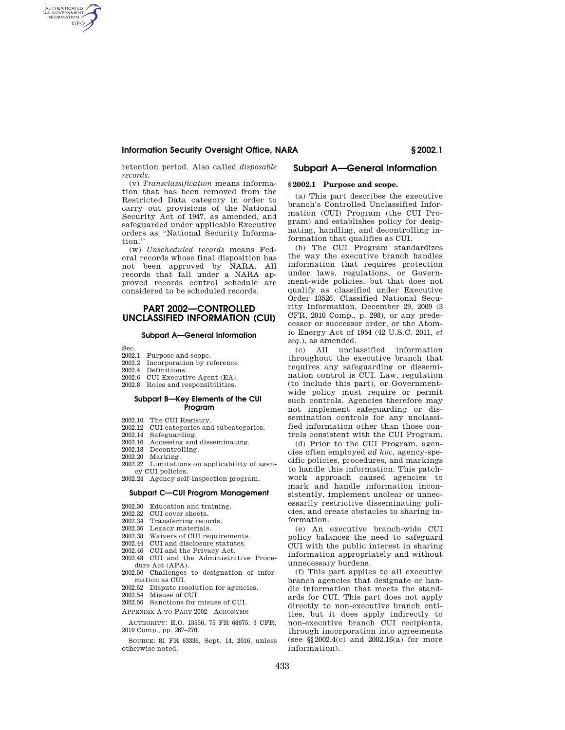retention period. Also called *disposable records.* 

(v) *Transclassification* means information that has been removed from the Restricted Data category in order to carry out provisions of the National Security Act of 1947, as amended, and safeguarded under applicable Executive orders as ''National Security Information.''

(w) *Unscheduled records* means Federal records whose final disposition has not been approved by NARA. All records that fall under a NARA approved records control schedule are considered to be scheduled records.

# **PART 2002—CONTROLLED UNCLASSIFIED INFORMATION (CUI)**

#### **Subpart A—General Information**

Sec.

AUTHENTICATED<br>U.S. GOVERNMENT<br>INFORMATION **GPO** 

- 2002.1 Purpose and scope.
- 2002.2 Incorporation by reference.
- 2002.4 Definitions.
- 2002.6 CUI Executive Agent (EA).
- 2002.8 Roles and responsibilities.

### **Subpart B—Key Elements of the CUI Program**

- 2002.10 The CUI Registry.
- 2002.12 CUI categories and subcategories.
- 
- 2002.14 Safeguarding.<br>2002.16 Accessing and 2002.16 Accessing and disseminating.<br>2002.18 Decontrolling
- 2002.18 Decontrolling.<br>2002.20 Marking.
- Marking.
- 2002.22 Limitations on applicability of agency CUI policies.
- 2002.24 Agency self-inspection program.

#### **Subpart C—CUI Program Management**

- 2002.30 Education and training.
- 2002.32 CUI cover sheets.<br>2002.34 Transferring reco
- Transferring records.
- 2002.36 Legacy materials.<br>2002.38 Waivers of CUI req
- Waivers of CUI requirements.
- 2002.44 CUI and disclosure statutes. 2002.46 CUI and the Privacy Act.
- 2002.48 CUI and the Administrative Proce-
- dure Act (APA). 2002.50 Challenges to designation of infor-
- mation as CUI.
- 2002.52 Dispute resolution for agencies.
- 2002.54 Misuse of CUI.
- 2002.56 Sanctions for misuse of CUI.
- APPENDIX A TO PART 2002—ACRONYMS

AUTHORITY: E.O. 13556, 75 FR 68675, 3 CFR, 2010 Comp., pp. 267–270.

SOURCE: 81 FR 63336, Sept. 14, 2016, unless otherwise noted.

## **Subpart A—General Information**

#### **§ 2002.1 Purpose and scope.**

(a) This part describes the executive branch's Controlled Unclassified Information (CUI) Program (the CUI Program) and establishes policy for designating, handling, and decontrolling information that qualifies as CUI.

(b) The CUI Program standardizes the way the executive branch handles information that requires protection under laws, regulations, or Government-wide policies, but that does not qualify as classified under Executive Order 13526, Classified National Security Information, December 29, 2009 (3 CFR, 2010 Comp., p. 298), or any predecessor or successor order, or the Atomic Energy Act of 1954 (42 U.S.C. 2011, *et seq.*), as amended.

(c) All unclassified information throughout the executive branch that requires any safeguarding or dissemination control is CUI. Law, regulation (to include this part), or Governmentwide policy must require or permit such controls. Agencies therefore may not implement safeguarding or dissemination controls for any unclassified information other than those controls consistent with the CUI Program.

(d) Prior to the CUI Program, agencies often employed *ad hoc,* agency-specific policies, procedures, and markings to handle this information. This patchwork approach caused agencies to mark and handle information inconsistently, implement unclear or unnecessarily restrictive disseminating policies, and create obstacles to sharing information.

(e) An executive branch-wide CUI policy balances the need to safeguard CUI with the public interest in sharing information appropriately and without unnecessary burdens.

(f) This part applies to all executive branch agencies that designate or handle information that meets the standards for CUI. This part does not apply directly to non-executive branch entities, but it does apply indirectly to non-executive branch CUI recipients, through incorporation into agreements (see §§2002.4(c) and 2002.16(a) for more information).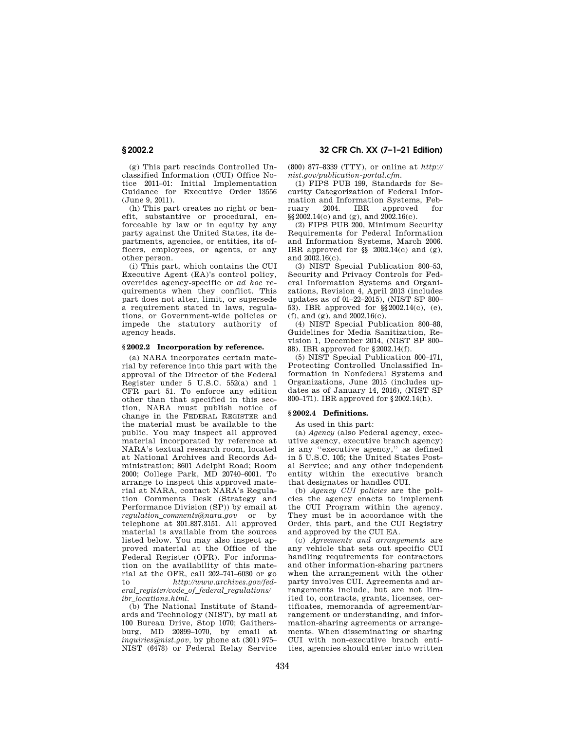**§ 2002.2 32 CFR Ch. XX (7–1–21 Edition)** 

(g) This part rescinds Controlled Unclassified Information (CUI) Office Notice 2011–01: Initial Implementation Guidance for Executive Order 13556 (June 9, 2011).

(h) This part creates no right or benefit, substantive or procedural, enforceable by law or in equity by any party against the United States, its departments, agencies, or entities, its officers, employees, or agents, or any other person.

(i) This part, which contains the CUI Executive Agent (EA)'s control policy, overrides agency-specific or *ad hoc* requirements when they conflict. This part does not alter, limit, or supersede a requirement stated in laws, regulations, or Government-wide policies or impede the statutory authority of agency heads.

#### **§ 2002.2 Incorporation by reference.**

(a) NARA incorporates certain material by reference into this part with the approval of the Director of the Federal Register under 5 U.S.C. 552(a) and 1 CFR part 51. To enforce any edition other than that specified in this section, NARA must publish notice of change in the FEDERAL REGISTER and the material must be available to the public. You may inspect all approved material incorporated by reference at NARA's textual research room, located at National Archives and Records Administration; 8601 Adelphi Road; Room 2000; College Park, MD 20740–6001. To arrange to inspect this approved material at NARA, contact NARA's Regulation Comments Desk (Strategy and Performance Division (SP)) by email at *regulation*\_*comments@nara.gov* or by telephone at 301.837.3151. All approved material is available from the sources listed below. You may also inspect approved material at the Office of the Federal Register (OFR). For information on the availability of this material at the OFR, call 202–741–6030 or go to *http://www.archives.gov/federal*\_*register/code*\_*of*\_*federal*\_*regulations/ ibr*\_*locations.html.* 

(b) The National Institute of Standards and Technology (NIST), by mail at 100 Bureau Drive, Stop 1070; Gaithersburg, MD 20899–1070, by email at *inquiries@nist.gov,* by phone at (301) 975– NIST (6478) or Federal Relay Service (800) 877–8339 (TTY), or online at *http:// nist.gov/publication-portal.cfm.* 

(1) FIPS PUB 199, Standards for Security Categorization of Federal Information and Information Systems, February 2004. IBR approved for §§2002.14(c) and (g), and 2002.16(c).

(2) FIPS PUB 200, Minimum Security Requirements for Federal Information and Information Systems, March 2006. IBR approved for  $\S$  2002.14(c) and (g), and 2002.16(c).

(3) NIST Special Publication 800–53, Security and Privacy Controls for Federal Information Systems and Organizations, Revision 4, April 2013 (includes updates as of 01–22–2015), (NIST SP 800– 53). IBR approved for §§2002.14(c), (e), (f), and (g), and 2002.16(c).

(4) NIST Special Publication 800–88, Guidelines for Media Sanitization, Revision 1, December 2014, (NIST SP 800– 88). IBR approved for §2002.14(f).

(5) NIST Special Publication 800–171, Protecting Controlled Unclassified Information in Nonfederal Systems and Organizations, June 2015 (includes updates as of January 14, 2016), (NIST SP 800–171). IBR approved for §2002.14(h).

## **§ 2002.4 Definitions.**

As used in this part:

(a) *Agency* (also Federal agency, executive agency, executive branch agency) is any ''executive agency,'' as defined in 5 U.S.C. 105; the United States Postal Service; and any other independent entity within the executive branch that designates or handles CUI.

(b) *Agency CUI policies* are the policies the agency enacts to implement the CUI Program within the agency. They must be in accordance with the Order, this part, and the CUI Registry and approved by the CUI EA.

(c) *Agreements and arrangements* are any vehicle that sets out specific CUI handling requirements for contractors and other information-sharing partners when the arrangement with the other party involves CUI. Agreements and arrangements include, but are not limited to, contracts, grants, licenses, certificates, memoranda of agreement/arrangement or understanding, and information-sharing agreements or arrangements. When disseminating or sharing CUI with non-executive branch entities, agencies should enter into written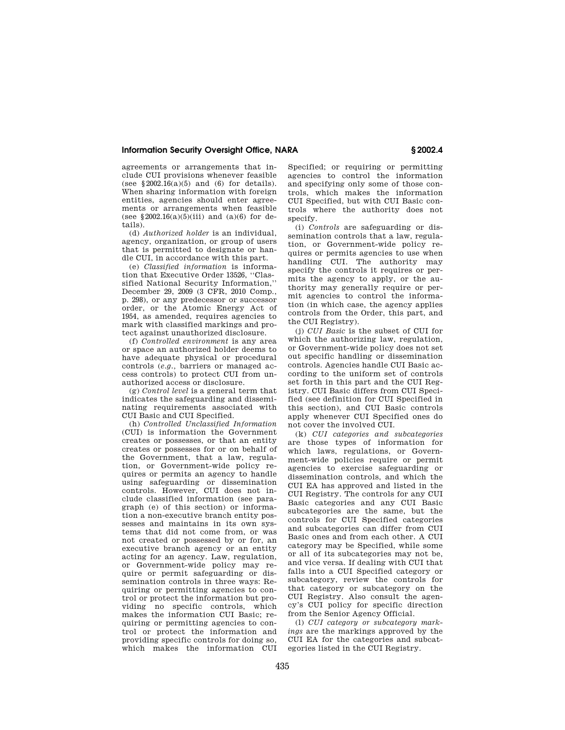agreements or arrangements that include CUI provisions whenever feasible (see  $$2002.16(a)(5)$  and (6) for details). When sharing information with foreign entities, agencies should enter agreements or arrangements when feasible (see §2002.16(a)( $5(iii)$  and (a)(6) for details).

(d) *Authorized holder* is an individual, agency, organization, or group of users that is permitted to designate or handle CUI, in accordance with this part.

(e) *Classified information* is information that Executive Order 13526, ''Classified National Security Information,'' December 29, 2009 (3 CFR, 2010 Comp., p. 298), or any predecessor or successor order, or the Atomic Energy Act of 1954, as amended, requires agencies to mark with classified markings and protect against unauthorized disclosure.

(f) *Controlled environment* is any area or space an authorized holder deems to have adequate physical or procedural controls (*e.g.,* barriers or managed access controls) to protect CUI from unauthorized access or disclosure.

(g) *Control level* is a general term that indicates the safeguarding and disseminating requirements associated with CUI Basic and CUI Specified.

(h) *Controlled Unclassified Information*  (CUI) is information the Government creates or possesses, or that an entity creates or possesses for or on behalf of the Government, that a law, regulation, or Government-wide policy requires or permits an agency to handle using safeguarding or dissemination controls. However, CUI does not include classified information (see paragraph (e) of this section) or information a non-executive branch entity possesses and maintains in its own systems that did not come from, or was not created or possessed by or for, an executive branch agency or an entity acting for an agency. Law, regulation, or Government-wide policy may require or permit safeguarding or dissemination controls in three ways: Requiring or permitting agencies to control or protect the information but providing no specific controls, which makes the information CUI Basic; requiring or permitting agencies to control or protect the information and providing specific controls for doing so, .<br>which makes the information CUI

Specified; or requiring or permitting agencies to control the information and specifying only some of those controls, which makes the information CUI Specified, but with CUI Basic controls where the authority does not specify.

(i) *Controls* are safeguarding or dissemination controls that a law, regulation, or Government-wide policy requires or permits agencies to use when handling CUI. The authority may specify the controls it requires or permits the agency to apply, or the authority may generally require or permit agencies to control the information (in which case, the agency applies controls from the Order, this part, and the CUI Registry).

(j) *CUI Basic* is the subset of CUI for which the authorizing law, regulation, or Government-wide policy does not set out specific handling or dissemination controls. Agencies handle CUI Basic according to the uniform set of controls set forth in this part and the CUI Registry. CUI Basic differs from CUI Specified (see definition for CUI Specified in this section), and CUI Basic controls apply whenever CUI Specified ones do not cover the involved CUI.

(k) *CUI categories and subcategories*  are those types of information for which laws, regulations, or Government-wide policies require or permit agencies to exercise safeguarding or dissemination controls, and which the CUI EA has approved and listed in the CUI Registry. The controls for any CUI Basic categories and any CUI Basic subcategories are the same, but the controls for CUI Specified categories and subcategories can differ from CUI Basic ones and from each other. A CUI category may be Specified, while some or all of its subcategories may not be, and vice versa. If dealing with CUI that falls into a CUI Specified category or subcategory, review the controls for that category or subcategory on the CUI Registry. Also consult the agency's CUI policy for specific direction from the Senior Agency Official.

(l) *CUI category or subcategory markings* are the markings approved by the CUI EA for the categories and subcategories listed in the CUI Registry.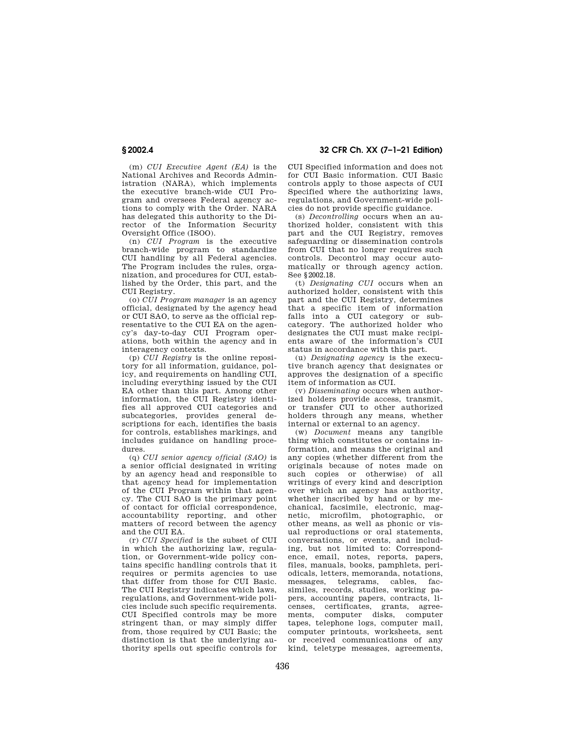(m) *CUI Executive Agent (EA)* is the National Archives and Records Administration (NARA), which implements the executive branch-wide CUI Program and oversees Federal agency actions to comply with the Order. NARA has delegated this authority to the Director of the Information Security Oversight Office (ISOO).

(n) *CUI Program* is the executive branch-wide program to standardize CUI handling by all Federal agencies. The Program includes the rules, organization, and procedures for CUI, established by the Order, this part, and the CUI Registry.

(o) *CUI Program manager* is an agency official, designated by the agency head or CUI SAO, to serve as the official representative to the CUI EA on the agency's day-to-day CUI Program operations, both within the agency and in interagency contexts.

(p) *CUI Registry* is the online repository for all information, guidance, policy, and requirements on handling CUI, including everything issued by the CUI EA other than this part. Among other information, the CUI Registry identifies all approved CUI categories and subcategories, provides general descriptions for each, identifies the basis for controls, establishes markings, and includes guidance on handling procedures.

(q) *CUI senior agency official (SAO)* is a senior official designated in writing by an agency head and responsible to that agency head for implementation of the CUI Program within that agency. The CUI SAO is the primary point of contact for official correspondence, accountability reporting, and other matters of record between the agency and the CUI EA.

(r) *CUI Specified* is the subset of CUI in which the authorizing law, regulation, or Government-wide policy contains specific handling controls that it requires or permits agencies to use that differ from those for CUI Basic. The CUI Registry indicates which laws, regulations, and Government-wide policies include such specific requirements. CUI Specified controls may be more stringent than, or may simply differ from, those required by CUI Basic; the distinction is that the underlying authority spells out specific controls for

**§ 2002.4 32 CFR Ch. XX (7–1–21 Edition)** 

CUI Specified information and does not for CUI Basic information. CUI Basic controls apply to those aspects of CUI Specified where the authorizing laws, regulations, and Government-wide policies do not provide specific guidance.

(s) *Decontrolling* occurs when an authorized holder, consistent with this part and the CUI Registry, removes safeguarding or dissemination controls from CUI that no longer requires such controls. Decontrol may occur automatically or through agency action. See §2002.18.

(t) *Designating CUI* occurs when an authorized holder, consistent with this part and the CUI Registry, determines that a specific item of information falls into a CUI category or subcategory. The authorized holder who designates the CUI must make recipients aware of the information's CUI status in accordance with this part.

(u) *Designating agency* is the executive branch agency that designates or approves the designation of a specific item of information as CUI.

(v) *Disseminating* occurs when authorized holders provide access, transmit, or transfer CUI to other authorized holders through any means, whether internal or external to an agency.

(w) *Document* means any tangible thing which constitutes or contains information, and means the original and any copies (whether different from the originals because of notes made on such copies or otherwise) of all writings of every kind and description over which an agency has authority, whether inscribed by hand or by mechanical, facsimile, electronic, magnetic, microfilm, photographic, or other means, as well as phonic or visual reproductions or oral statements, conversations, or events, and including, but not limited to: Correspondence, email, notes, reports, papers, files, manuals, books, pamphlets, periodicals, letters, memoranda, notations, messages, telegrams, cables, facsimiles, records, studies, working papers, accounting papers, contracts, licenses, certificates, grants, agreements, computer disks, computer tapes, telephone logs, computer mail, computer printouts, worksheets, sent or received communications of any kind, teletype messages, agreements,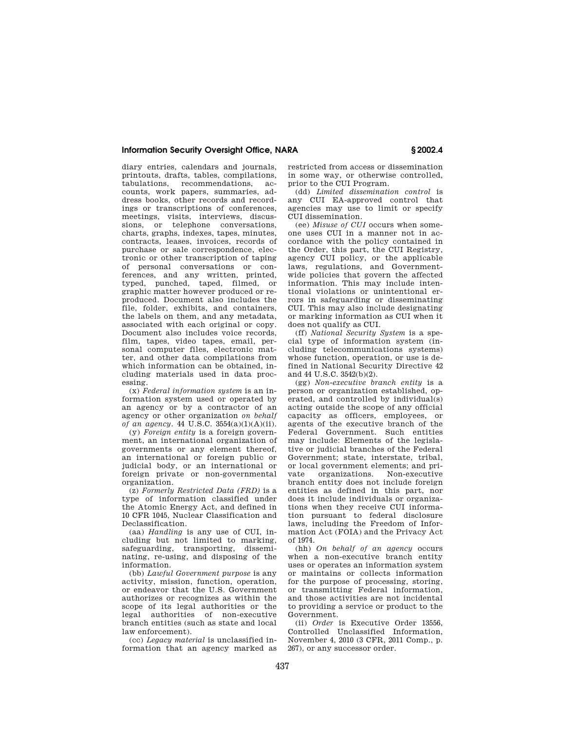diary entries, calendars and journals, printouts, drafts, tables, compilations, tabulations, recommendations, accounts, work papers, summaries, address books, other records and recordings or transcriptions of conferences, meetings, visits, interviews, discussions, or telephone conversations, charts, graphs, indexes, tapes, minutes, contracts, leases, invoices, records of purchase or sale correspondence, electronic or other transcription of taping of personal conversations or conferences, and any written, printed, typed, punched, taped, filmed, or graphic matter however produced or reproduced. Document also includes the file, folder, exhibits, and containers, the labels on them, and any metadata, associated with each original or copy. Document also includes voice records, film, tapes, video tapes, email, personal computer files, electronic matter, and other data compilations from which information can be obtained, including materials used in data processing.

(x) *Federal information system* is an information system used or operated by an agency or by a contractor of an agency or other organization *on behalf of an agency.* 44 U.S.C. 3554(a)(1)(A)(ii).

(y) *Foreign entity* is a foreign government, an international organization of governments or any element thereof, an international or foreign public or judicial body, or an international or foreign private or non-governmental organization.

(z) *Formerly Restricted Data (FRD)* is a type of information classified under the Atomic Energy Act, and defined in 10 CFR 1045, Nuclear Classification and Declassification.

(aa) *Handling* is any use of CUI, including but not limited to marking, safeguarding, transporting, disseminating, re-using, and disposing of the information.

(bb) *Lawful Government purpose* is any activity, mission, function, operation, or endeavor that the U.S. Government authorizes or recognizes as within the scope of its legal authorities or the legal authorities of non-executive branch entities (such as state and local law enforcement).

(cc) *Legacy material* is unclassified information that an agency marked as restricted from access or dissemination in some way, or otherwise controlled, prior to the CUI Program.

(dd) *Limited dissemination control* is any CUI EA-approved control that agencies may use to limit or specify CUI dissemination.

(ee) *Misuse of CUI* occurs when someone uses CUI in a manner not in accordance with the policy contained in the Order, this part, the CUI Registry, agency CUI policy, or the applicable laws, regulations, and Governmentwide policies that govern the affected information. This may include intentional violations or unintentional errors in safeguarding or disseminating CUI. This may also include designating or marking information as CUI when it does not qualify as CUI.

(ff) *National Security System* is a special type of information system (including telecommunications systems) whose function, operation, or use is defined in National Security Directive 42 and 44 U.S.C. 3542(b)(2).

(gg) *Non-executive branch entity* is a person or organization established, operated, and controlled by individual(s) acting outside the scope of any official capacity as officers, employees, or agents of the executive branch of the Federal Government. Such entities may include: Elements of the legislative or judicial branches of the Federal Government; state, interstate, tribal, or local government elements; and private organizations. Non-executive branch entity does not include foreign entities as defined in this part, nor does it include individuals or organizations when they receive CUI information pursuant to federal disclosure laws, including the Freedom of Information Act (FOIA) and the Privacy Act of 1974.

(hh) *On behalf of an agency* occurs when a non-executive branch entity uses or operates an information system or maintains or collects information for the purpose of processing, storing, or transmitting Federal information, and those activities are not incidental to providing a service or product to the Government.

(ii) *Order* is Executive Order 13556, Controlled Unclassified Information, November 4, 2010 (3 CFR, 2011 Comp., p. 267), or any successor order.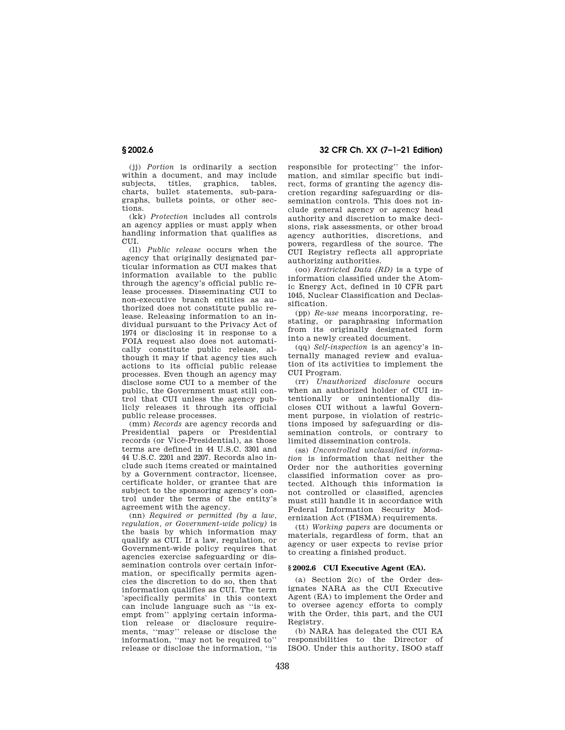**§ 2002.6 32 CFR Ch. XX (7–1–21 Edition)** 

(jj) *Portion* is ordinarily a section within a document, and may include subjects, titles, graphics, tables, charts, bullet statements, sub-paragraphs, bullets points, or other sections.

(kk) *Protection* includes all controls an agency applies or must apply when handling information that qualifies as CUI.

(ll) *Public release* occurs when the agency that originally designated particular information as CUI makes that information available to the public through the agency's official public release processes. Disseminating CUI to non-executive branch entities as authorized does not constitute public release. Releasing information to an individual pursuant to the Privacy Act of 1974 or disclosing it in response to a FOIA request also does not automatically constitute public release, although it may if that agency ties such actions to its official public release processes. Even though an agency may disclose some CUI to a member of the public, the Government must still control that CUI unless the agency publicly releases it through its official public release processes.

(mm) *Records* are agency records and Presidential papers or Presidential records (or Vice-Presidential), as those terms are defined in 44 U.S.C. 3301 and 44 U.S.C. 2201 and 2207. Records also include such items created or maintained by a Government contractor, licensee, certificate holder, or grantee that are subject to the sponsoring agency's control under the terms of the entity's agreement with the agency.

(nn) *Required or permitted (by a law, regulation, or Government-wide policy)* is the basis by which information may qualify as CUI. If a law, regulation, or Government-wide policy requires that agencies exercise safeguarding or dissemination controls over certain information, or specifically permits agencies the discretion to do so, then that information qualifies as CUI. The term 'specifically permits' in this context can include language such as ''is exempt from'' applying certain information release or disclosure requirements, ''may'' release or disclose the information, ''may not be required to'' release or disclose the information, ''is

responsible for protecting'' the information, and similar specific but indirect, forms of granting the agency discretion regarding safeguarding or dissemination controls. This does not include general agency or agency head authority and discretion to make decisions, risk assessments, or other broad agency authorities, discretions, and powers, regardless of the source. The CUI Registry reflects all appropriate authorizing authorities.

(oo) *Restricted Data (RD)* is a type of information classified under the Atomic Energy Act, defined in 10 CFR part 1045, Nuclear Classification and Declassification.

(pp) *Re-use* means incorporating, restating, or paraphrasing information from its originally designated form into a newly created document.

(qq) *Self-inspection* is an agency's internally managed review and evaluation of its activities to implement the CUI Program.

(rr) *Unauthorized disclosure* occurs when an authorized holder of CUI intentionally or unintentionally discloses CUI without a lawful Government purpose, in violation of restrictions imposed by safeguarding or dissemination controls, or contrary to limited dissemination controls.

(ss) *Uncontrolled unclassified information* is information that neither the Order nor the authorities governing classified information cover as protected. Although this information is not controlled or classified, agencies must still handle it in accordance with Federal Information Security Modernization Act (FISMA) requirements.

(tt) *Working papers* are documents or materials, regardless of form, that an agency or user expects to revise prior to creating a finished product.

## **§ 2002.6 CUI Executive Agent (EA).**

(a) Section 2(c) of the Order designates NARA as the CUI Executive Agent (EA) to implement the Order and to oversee agency efforts to comply with the Order, this part, and the CUI Registry.

(b) NARA has delegated the CUI EA responsibilities to the Director of ISOO. Under this authority, ISOO staff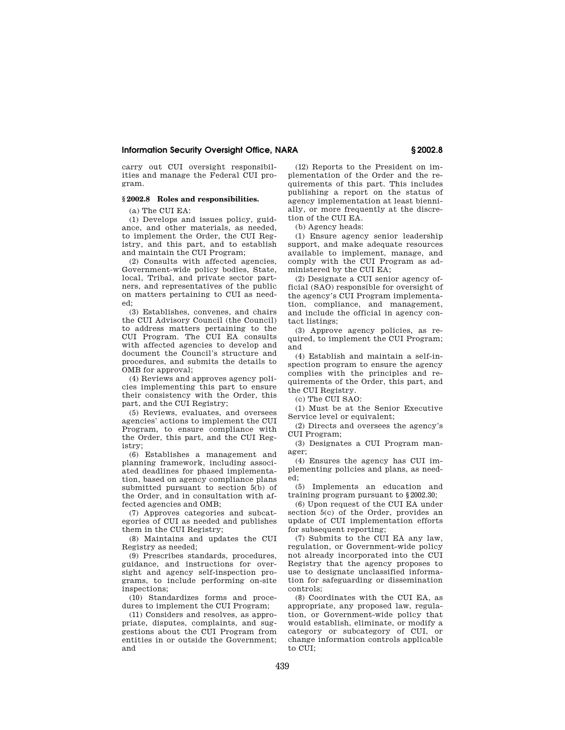carry out CUI oversight responsibilities and manage the Federal CUI program.

# **§ 2002.8 Roles and responsibilities.**

(a) The CUI EA:

(1) Develops and issues policy, guidance, and other materials, as needed, to implement the Order, the CUI Registry, and this part, and to establish and maintain the CUI Program;

(2) Consults with affected agencies, Government-wide policy bodies, State, local, Tribal, and private sector partners, and representatives of the public on matters pertaining to CUI as needed;

(3) Establishes, convenes, and chairs the CUI Advisory Council (the Council) to address matters pertaining to the CUI Program. The CUI EA consults with affected agencies to develop and document the Council's structure and procedures, and submits the details to OMB for approval;

(4) Reviews and approves agency policies implementing this part to ensure their consistency with the Order, this part, and the CUI Registry;

(5) Reviews, evaluates, and oversees agencies' actions to implement the CUI Program, to ensure compliance with the Order, this part, and the CUI Registry;

(6) Establishes a management and planning framework, including associated deadlines for phased implementation, based on agency compliance plans submitted pursuant to section 5(b) of the Order, and in consultation with affected agencies and OMB;

(7) Approves categories and subcategories of CUI as needed and publishes them in the CUI Registry;

(8) Maintains and updates the CUI Registry as needed;

(9) Prescribes standards, procedures, guidance, and instructions for oversight and agency self-inspection programs, to include performing on-site inspections;

(10) Standardizes forms and procedures to implement the CUI Program;

(11) Considers and resolves, as appropriate, disputes, complaints, and suggestions about the CUI Program from entities in or outside the Government; and

(12) Reports to the President on implementation of the Order and the requirements of this part. This includes publishing a report on the status of agency implementation at least biennially, or more frequently at the discretion of the CUI EA.

(b) Agency heads:

(1) Ensure agency senior leadership support, and make adequate resources available to implement, manage, and comply with the CUI Program as administered by the CUI EA;

(2) Designate a CUI senior agency official (SAO) responsible for oversight of the agency's CUI Program implementation, compliance, and management, and include the official in agency contact listings;

(3) Approve agency policies, as required, to implement the CUI Program; and

(4) Establish and maintain a self-inspection program to ensure the agency complies with the principles and requirements of the Order, this part, and the CUI Registry.

(c) The CUI SAO:

(1) Must be at the Senior Executive Service level or equivalent;

(2) Directs and oversees the agency's CUI Program;

(3) Designates a CUI Program manager;

(4) Ensures the agency has CUI implementing policies and plans, as needed;

(5) Implements an education and training program pursuant to §2002.30;

(6) Upon request of the CUI EA under section 5(c) of the Order, provides an update of CUI implementation efforts for subsequent reporting;

(7) Submits to the CUI EA any law, regulation, or Government-wide policy not already incorporated into the CUI Registry that the agency proposes to use to designate unclassified information for safeguarding or dissemination controls;

(8) Coordinates with the CUI EA, as appropriate, any proposed law, regulation, or Government-wide policy that would establish, eliminate, or modify a category or subcategory of CUI, or change information controls applicable to CUI;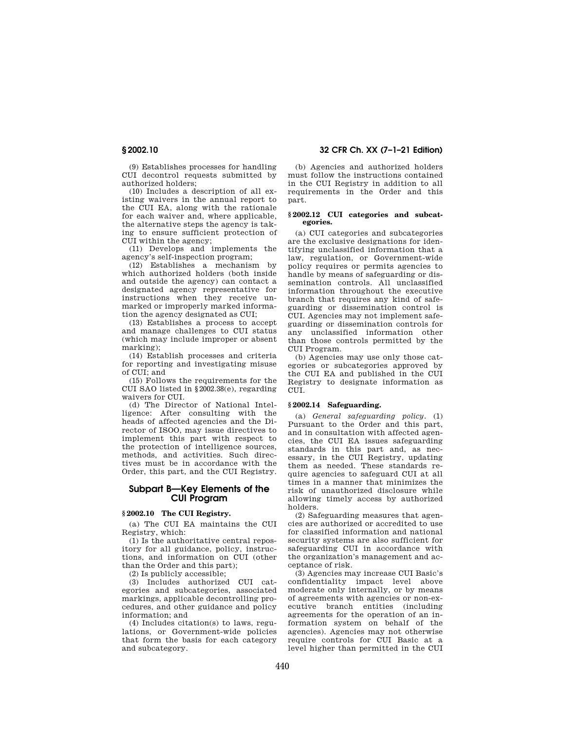(9) Establishes processes for handling CUI decontrol requests submitted by authorized holders;

(10) Includes a description of all existing waivers in the annual report to the CUI EA, along with the rationale for each waiver and, where applicable, the alternative steps the agency is taking to ensure sufficient protection of CUI within the agency;

(11) Develops and implements the agency's self-inspection program;

(12) Establishes a mechanism by which authorized holders (both inside and outside the agency) can contact a designated agency representative for instructions when they receive unmarked or improperly marked information the agency designated as CUI;

(13) Establishes a process to accept and manage challenges to CUI status (which may include improper or absent marking);

(14) Establish processes and criteria for reporting and investigating misuse of CUI; and

(15) Follows the requirements for the CUI SAO listed in §2002.38(e), regarding waivers for CUI.

(d) The Director of National Intelligence: After consulting with the heads of affected agencies and the Director of ISOO, may issue directives to implement this part with respect to the protection of intelligence sources, methods, and activities. Such directives must be in accordance with the Order, this part, and the CUI Registry.

# **Subpart B—Key Elements of the CUI Program**

## **§ 2002.10 The CUI Registry.**

(a) The CUI EA maintains the CUI Registry, which:

(1) Is the authoritative central repository for all guidance, policy, instructions, and information on CUI (other than the Order and this part);

(2) Is publicly accessible;

(3) Includes authorized CUI categories and subcategories, associated markings, applicable decontrolling procedures, and other guidance and policy information; and

(4) Includes citation(s) to laws, regulations, or Government-wide policies that form the basis for each category and subcategory.

# **§ 2002.10 32 CFR Ch. XX (7–1–21 Edition)**

(b) Agencies and authorized holders must follow the instructions contained in the CUI Registry in addition to all requirements in the Order and this part.

#### **§ 2002.12 CUI categories and subcategories.**

(a) CUI categories and subcategories are the exclusive designations for identifying unclassified information that a law, regulation, or Government-wide policy requires or permits agencies to handle by means of safeguarding or dissemination controls. All unclassified information throughout the executive branch that requires any kind of safeguarding or dissemination control is CUI. Agencies may not implement safeguarding or dissemination controls for any unclassified information other than those controls permitted by the CUI Program.

(b) Agencies may use only those categories or subcategories approved by the CUI EA and published in the CUI Registry to designate information as CUI.

### **§ 2002.14 Safeguarding.**

(a) *General safeguarding policy.* (1) Pursuant to the Order and this part, and in consultation with affected agencies, the CUI EA issues safeguarding standards in this part and, as necessary, in the CUI Registry, updating them as needed. These standards require agencies to safeguard CUI at all times in a manner that minimizes the risk of unauthorized disclosure while allowing timely access by authorized holders.

(2) Safeguarding measures that agencies are authorized or accredited to use for classified information and national security systems are also sufficient for safeguarding CUI in accordance with the organization's management and acceptance of risk.

(3) Agencies may increase CUI Basic's confidentiality impact level above moderate only internally, or by means of agreements with agencies or non-executive branch entities (including agreements for the operation of an information system on behalf of the agencies). Agencies may not otherwise require controls for CUI Basic at a level higher than permitted in the CUI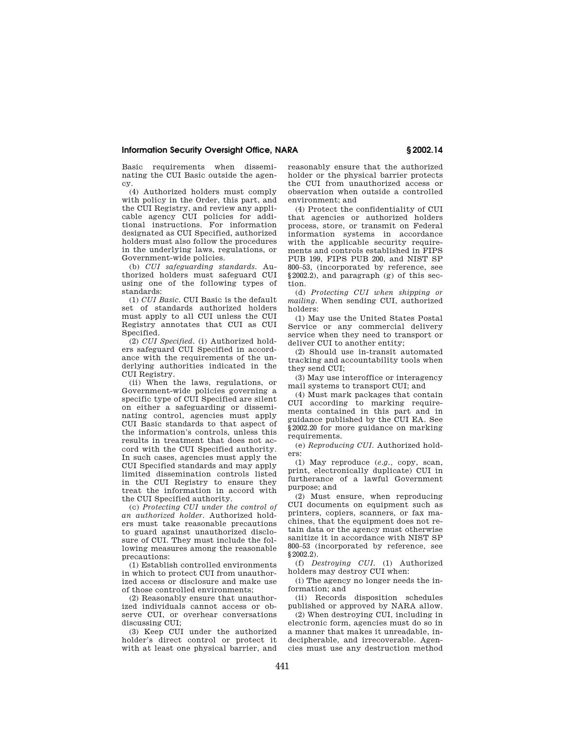Basic requirements when disseminating the CUI Basic outside the agency.

(4) Authorized holders must comply with policy in the Order, this part, and the CUI Registry, and review any applicable agency CUI policies for additional instructions. For information designated as CUI Specified, authorized holders must also follow the procedures in the underlying laws, regulations, or Government-wide policies.

(b) *CUI safeguarding standards.* Authorized holders must safeguard CUI using one of the following types of standards:

(1) *CUI Basic.* CUI Basic is the default set of standards authorized holders must apply to all CUI unless the CUI Registry annotates that CUI as CUI Specified.

(2) *CUI Specified.* (i) Authorized holders safeguard CUI Specified in accordance with the requirements of the underlying authorities indicated in the CUI Registry.

(ii) When the laws, regulations, or Government-wide policies governing a specific type of CUI Specified are silent on either a safeguarding or disseminating control, agencies must apply CUI Basic standards to that aspect of the information's controls, unless this results in treatment that does not accord with the CUI Specified authority. In such cases, agencies must apply the CUI Specified standards and may apply limited dissemination controls listed in the CUI Registry to ensure they treat the information in accord with the CUI Specified authority.

(c) *Protecting CUI under the control of an authorized holder.* Authorized holders must take reasonable precautions to guard against unauthorized disclosure of CUI. They must include the following measures among the reasonable precautions:

(1) Establish controlled environments in which to protect CUI from unauthorized access or disclosure and make use of those controlled environments;

(2) Reasonably ensure that unauthorized individuals cannot access or observe CUI, or overhear conversations discussing CUI;

(3) Keep CUI under the authorized holder's direct control or protect it with at least one physical barrier, and reasonably ensure that the authorized holder or the physical barrier protects the CUI from unauthorized access or observation when outside a controlled environment; and

(4) Protect the confidentiality of CUI that agencies or authorized holders process, store, or transmit on Federal information systems in accordance with the applicable security requirements and controls established in FIPS PUB 199, FIPS PUB 200, and NIST SP 800–53, (incorporated by reference, see §2002.2), and paragraph (g) of this section.

(d) *Protecting CUI when shipping or mailing.* When sending CUI, authorized holders:

(1) May use the United States Postal Service or any commercial delivery service when they need to transport or deliver CUI to another entity;

(2) Should use in-transit automated tracking and accountability tools when they send CUI;

(3) May use interoffice or interagency mail systems to transport CUI; and

(4) Must mark packages that contain CUI according to marking requirements contained in this part and in guidance published by the CUI EA. See §2002.20 for more guidance on marking requirements.

(e) *Reproducing CUI.* Authorized holders:

(1) May reproduce (*e.g.,* copy, scan, print, electronically duplicate) CUI in furtherance of a lawful Government purpose; and

(2) Must ensure, when reproducing CUI documents on equipment such as printers, copiers, scanners, or fax machines, that the equipment does not retain data or the agency must otherwise sanitize it in accordance with NIST SP 800–53 (incorporated by reference, see §2002.2).

(f) *Destroying CUI.* (1) Authorized holders may destroy CUI when:

(i) The agency no longer needs the information; and

(ii) Records disposition schedules published or approved by NARA allow.

(2) When destroying CUI, including in electronic form, agencies must do so in a manner that makes it unreadable, indecipherable, and irrecoverable. Agencies must use any destruction method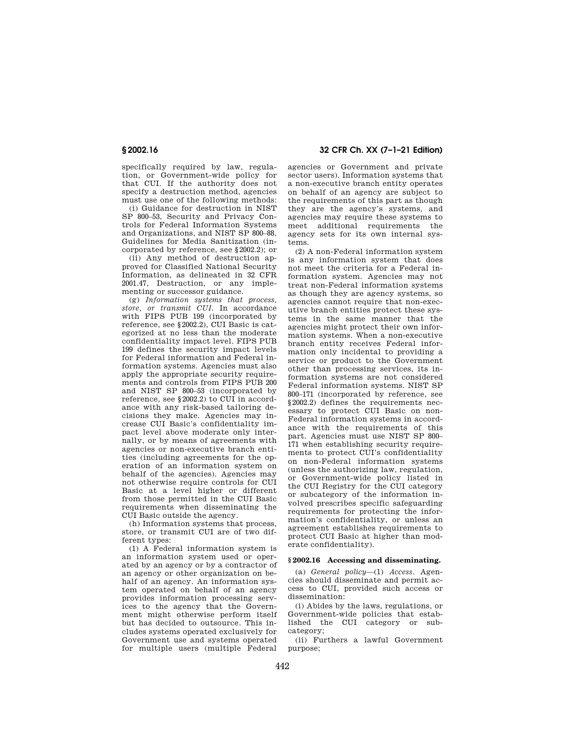specifically required by law, regulation, or Government-wide policy for that CUI. If the authority does not specify a destruction method, agencies must use one of the following methods:

(i) Guidance for destruction in NIST SP 800–53, Security and Privacy Controls for Federal Information Systems and Organizations, and NIST SP 800–88, Guidelines for Media Sanitization (incorporated by reference, see §2002.2); or

(ii) Any method of destruction approved for Classified National Security Information, as delineated in 32 CFR 2001.47, Destruction, or any implementing or successor guidance.

(g) *Information systems that process, store, or transmit CUI.* In accordance with FIPS PUB 199 (incorporated by reference, see §2002.2), CUI Basic is categorized at no less than the moderate confidentiality impact level. FIPS PUB 199 defines the security impact levels for Federal information and Federal information systems. Agencies must also apply the appropriate security requirements and controls from FIPS PUB 200 and NIST SP 800–53 (incorporated by reference, see §2002.2) to CUI in accordance with any risk-based tailoring decisions they make. Agencies may increase CUI Basic's confidentiality impact level above moderate only internally, or by means of agreements with agencies or non-executive branch entities (including agreements for the operation of an information system on behalf of the agencies). Agencies may not otherwise require controls for CUI Basic at a level higher or different from those permitted in the CUI Basic requirements when disseminating the CUI Basic outside the agency.

(h) Information systems that process, store, or transmit CUI are of two different types:

(1) A Federal information system is an information system used or operated by an agency or by a contractor of an agency or other organization on behalf of an agency. An information system operated on behalf of an agency provides information processing services to the agency that the Government might otherwise perform itself but has decided to outsource. This includes systems operated exclusively for Government use and systems operated for multiple users (multiple Federal

**§ 2002.16 32 CFR Ch. XX (7–1–21 Edition)** 

agencies or Government and private sector users). Information systems that a non-executive branch entity operates on behalf of an agency are subject to the requirements of this part as though they are the agency's systems, and agencies may require these systems to meet additional requirements the agency sets for its own internal systems.

(2) A non-Federal information system is any information system that does not meet the criteria for a Federal information system. Agencies may not treat non-Federal information systems as though they are agency systems, so agencies cannot require that non-executive branch entities protect these systems in the same manner that the agencies might protect their own information systems. When a non-executive branch entity receives Federal information only incidental to providing a service or product to the Government other than processing services, its information systems are not considered Federal information systems. NIST SP 800–171 (incorporated by reference, see §2002.2) defines the requirements necessary to protect CUI Basic on non-Federal information systems in accordance with the requirements of this part. Agencies must use NIST SP 800– 171 when establishing security requirements to protect CUI's confidentiality on non-Federal information systems (unless the authorizing law, regulation, or Government-wide policy listed in the CUI Registry for the CUI category or subcategory of the information involved prescribes specific safeguarding requirements for protecting the information's confidentiality, or unless an agreement establishes requirements to protect CUI Basic at higher than moderate confidentiality).

## **§ 2002.16 Accessing and disseminating.**

(a) *General policy*—(1) *Access.* Agencies should disseminate and permit access to CUI, provided such access or dissemination:

(i) Abides by the laws, regulations, or Government-wide policies that established the CUI category or subcategory;

(ii) Furthers a lawful Government purpose;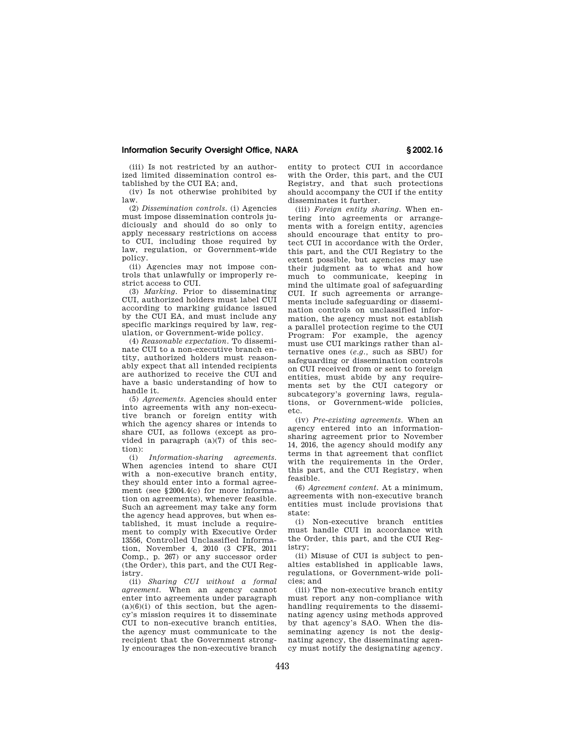(iii) Is not restricted by an authorized limited dissemination control established by the CUI EA; and,

(iv) Is not otherwise prohibited by law.

(2) *Dissemination controls.* (i) Agencies must impose dissemination controls judiciously and should do so only to apply necessary restrictions on access to CUI, including those required by law, regulation, or Government-wide policy.

(ii) Agencies may not impose controls that unlawfully or improperly restrict access to CUI.

(3) *Marking.* Prior to disseminating CUI, authorized holders must label CUI according to marking guidance issued by the CUI EA, and must include any specific markings required by law, regulation, or Government-wide policy.

(4) *Reasonable expectation.* To disseminate CUI to a non-executive branch entity, authorized holders must reasonably expect that all intended recipients are authorized to receive the CUI and have a basic understanding of how to handle it.

(5) *Agreements.* Agencies should enter into agreements with any non-executive branch or foreign entity with which the agency shares or intends to share CUI, as follows (except as provided in paragraph  $(a)(7)$  of this section):

(i) *Information-sharing agreements.*  When agencies intend to share CUI with a non-executive branch entity, they should enter into a formal agreement (see §2004.4(c) for more information on agreements), whenever feasible. Such an agreement may take any form the agency head approves, but when established, it must include a requirement to comply with Executive Order 13556, Controlled Unclassified Information, November 4, 2010 (3 CFR, 2011 Comp., p. 267) or any successor order (the Order), this part, and the CUI Registry.

(ii) *Sharing CUI without a formal agreement.* When an agency cannot enter into agreements under paragraph  $(a)(6)(i)$  of this section, but the agency's mission requires it to disseminate CUI to non-executive branch entities, the agency must communicate to the recipient that the Government strongly encourages the non-executive branch entity to protect CUI in accordance with the Order, this part, and the CUI Registry, and that such protections should accompany the CUI if the entity disseminates it further.

(iii) *Foreign entity sharing.* When entering into agreements or arrangements with a foreign entity, agencies should encourage that entity to protect CUI in accordance with the Order, this part, and the CUI Registry to the extent possible, but agencies may use their judgment as to what and how much to communicate, keeping in mind the ultimate goal of safeguarding CUI. If such agreements or arrangements include safeguarding or dissemination controls on unclassified information, the agency must not establish a parallel protection regime to the CUI Program: For example, the agency must use CUI markings rather than alternative ones (*e.g.,* such as SBU) for safeguarding or dissemination controls on CUI received from or sent to foreign entities, must abide by any requirements set by the CUI category or subcategory's governing laws, regulations, or Government-wide policies, etc.

(iv) *Pre-existing agreements.* When an agency entered into an informationsharing agreement prior to November 14, 2016, the agency should modify any terms in that agreement that conflict with the requirements in the Order, this part, and the CUI Registry, when feasible.

(6) *Agreement content.* At a minimum, agreements with non-executive branch entities must include provisions that state:

(i) Non-executive branch entities must handle CUI in accordance with the Order, this part, and the CUI Registry;

(ii) Misuse of CUI is subject to penalties established in applicable laws, regulations, or Government-wide policies; and

(iii) The non-executive branch entity must report any non-compliance with handling requirements to the disseminating agency using methods approved by that agency's SAO. When the disseminating agency is not the designating agency, the disseminating agency must notify the designating agency.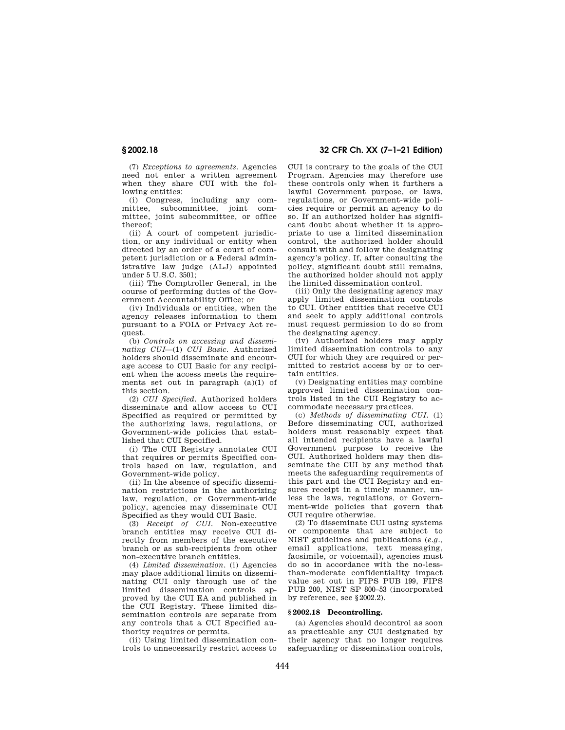(7) *Exceptions to agreements.* Agencies need not enter a written agreement when they share CUI with the following entities:

(i) Congress, including any committee, subcommittee, joint committee, joint subcommittee, or office thereof;

(ii) A court of competent jurisdiction, or any individual or entity when directed by an order of a court of competent jurisdiction or a Federal administrative law judge (ALJ) appointed under 5 U.S.C. 3501;

(iii) The Comptroller General, in the course of performing duties of the Government Accountability Office; or

(iv) Individuals or entities, when the agency releases information to them pursuant to a FOIA or Privacy Act request.

(b) *Controls on accessing and disseminating CUI*—(1) *CUI Basic.* Authorized holders should disseminate and encourage access to CUI Basic for any recipient when the access meets the requirements set out in paragraph (a)(1) of this section.

(2) *CUI Specified.* Authorized holders disseminate and allow access to CUI Specified as required or permitted by the authorizing laws, regulations, or Government-wide policies that established that CUI Specified.

(i) The CUI Registry annotates CUI that requires or permits Specified controls based on law, regulation, and Government-wide policy.

(ii) In the absence of specific dissemination restrictions in the authorizing law, regulation, or Government-wide policy, agencies may disseminate CUI Specified as they would CUI Basic.

(3) *Receipt of CUI.* Non-executive branch entities may receive CUI directly from members of the executive branch or as sub-recipients from other non-executive branch entities.

(4) *Limited dissemination.* (i) Agencies may place additional limits on disseminating CUI only through use of the limited dissemination controls approved by the CUI EA and published in the CUI Registry. These limited dissemination controls are separate from any controls that a CUI Specified authority requires or permits.

(ii) Using limited dissemination controls to unnecessarily restrict access to

# **§ 2002.18 32 CFR Ch. XX (7–1–21 Edition)**

CUI is contrary to the goals of the CUI Program. Agencies may therefore use these controls only when it furthers a lawful Government purpose, or laws, regulations, or Government-wide policies require or permit an agency to do so. If an authorized holder has significant doubt about whether it is appropriate to use a limited dissemination control, the authorized holder should consult with and follow the designating agency's policy. If, after consulting the policy, significant doubt still remains, the authorized holder should not apply the limited dissemination control.

(iii) Only the designating agency may apply limited dissemination controls to CUI. Other entities that receive CUI and seek to apply additional controls must request permission to do so from the designating agency.

(iv) Authorized holders may apply limited dissemination controls to any CUI for which they are required or permitted to restrict access by or to certain entities.

(v) Designating entities may combine approved limited dissemination controls listed in the CUI Registry to accommodate necessary practices.

(c) *Methods of disseminating CUI.* (1) Before disseminating CUI, authorized holders must reasonably expect that all intended recipients have a lawful Government purpose to receive the CUI. Authorized holders may then disseminate the CUI by any method that meets the safeguarding requirements of this part and the CUI Registry and ensures receipt in a timely manner, unless the laws, regulations, or Government-wide policies that govern that CUI require otherwise.

(2) To disseminate CUI using systems or components that are subject to NIST guidelines and publications (*e.g.,*  email applications, text messaging, facsimile, or voicemail), agencies must do so in accordance with the no-lessthan-moderate confidentiality impact value set out in FIPS PUB 199, FIPS PUB 200, NIST SP 800–53 (incorporated by reference, see §2002.2).

## **§ 2002.18 Decontrolling.**

(a) Agencies should decontrol as soon as practicable any CUI designated by their agency that no longer requires safeguarding or dissemination controls,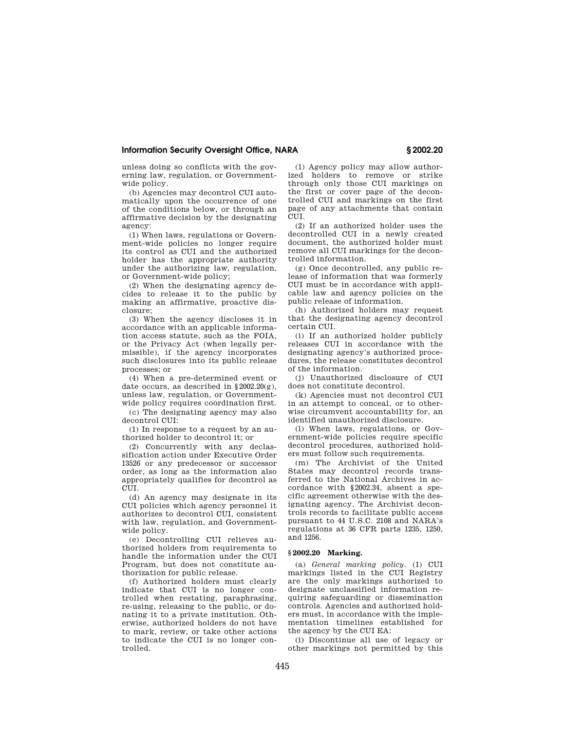unless doing so conflicts with the governing law, regulation, or Governmentwide policy.

(b) Agencies may decontrol CUI automatically upon the occurrence of one of the conditions below, or through an affirmative decision by the designating agency:

(1) When laws, regulations or Government-wide policies no longer require its control as CUI and the authorized holder has the appropriate authority under the authorizing law, regulation, or Government-wide policy;

(2) When the designating agency decides to release it to the public by making an affirmative, proactive disclosure;

(3) When the agency discloses it in accordance with an applicable information access statute, such as the FOIA, or the Privacy Act (when legally permissible), if the agency incorporates such disclosures into its public release processes; or

(4) When a pre-determined event or date occurs, as described in  $§2002.20(g)$ , unless law, regulation, or Governmentwide policy requires coordination first.

(c) The designating agency may also decontrol CUI:

(1) In response to a request by an authorized holder to decontrol it; or

(2) Concurrently with any declassification action under Executive Order 13526 or any predecessor or successor order, as long as the information also appropriately qualifies for decontrol as CUI.

(d) An agency may designate in its CUI policies which agency personnel it authorizes to decontrol CUI, consistent with law, regulation, and Governmentwide policy.

(e) Decontrolling CUI relieves authorized holders from requirements to handle the information under the CUI Program, but does not constitute authorization for public release.

(f) Authorized holders must clearly indicate that CUI is no longer controlled when restating, paraphrasing, re-using, releasing to the public, or donating it to a private institution. Otherwise, authorized holders do not have to mark, review, or take other actions to indicate the CUI is no longer controlled.

(1) Agency policy may allow authorized holders to remove or strike through only those CUI markings on the first or cover page of the decontrolled CUI and markings on the first page of any attachments that contain CUIL.

(2) If an authorized holder uses the decontrolled CUI in a newly created document, the authorized holder must remove all CUI markings for the decontrolled information.

(g) Once decontrolled, any public release of information that was formerly CUI must be in accordance with applicable law and agency policies on the public release of information.

(h) Authorized holders may request that the designating agency decontrol certain CUI.

(i) If an authorized holder publicly releases CUI in accordance with the designating agency's authorized procedures, the release constitutes decontrol of the information.

(j) Unauthorized disclosure of CUI does not constitute decontrol.

(k) Agencies must not decontrol CUI in an attempt to conceal, or to otherwise circumvent accountability for, an identified unauthorized disclosure.

(l) When laws, regulations, or Government-wide policies require specific decontrol procedures, authorized holders must follow such requirements.

(m) The Archivist of the United States may decontrol records transferred to the National Archives in accordance with §2002.34, absent a specific agreement otherwise with the designating agency. The Archivist decontrols records to facilitate public access pursuant to 44 U.S.C. 2108 and NARA's regulations at 36 CFR parts 1235, 1250, and 1256.

#### **§ 2002.20 Marking.**

(a) *General marking policy.* (1) CUI markings listed in the CUI Registry are the only markings authorized to designate unclassified information requiring safeguarding or dissemination controls. Agencies and authorized holders must, in accordance with the implementation timelines established for the agency by the CUI EA:

(i) Discontinue all use of legacy or other markings not permitted by this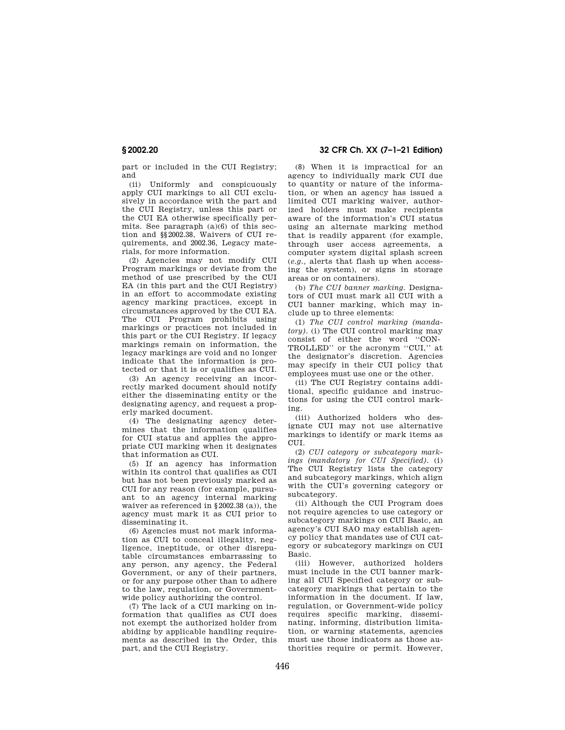part or included in the CUI Registry; and

(ii) Uniformly and conspicuously apply CUI markings to all CUI exclusively in accordance with the part and the CUI Registry, unless this part or the CUI EA otherwise specifically permits. See paragraph (a)(6) of this section and §§2002.38, Waivers of CUI requirements, and 2002.36, Legacy materials, for more information.

(2) Agencies may not modify CUI Program markings or deviate from the method of use prescribed by the CUI EA (in this part and the CUI Registry) in an effort to accommodate existing agency marking practices, except in circumstances approved by the CUI EA. The CUI Program prohibits using markings or practices not included in this part or the CUI Registry. If legacy markings remain on information, the legacy markings are void and no longer indicate that the information is protected or that it is or qualifies as CUI.

(3) An agency receiving an incorrectly marked document should notify either the disseminating entity or the designating agency, and request a properly marked document.

(4) The designating agency determines that the information qualifies for CUI status and applies the appropriate CUI marking when it designates that information as CUI.

(5) If an agency has information within its control that qualifies as CUI but has not been previously marked as CUI for any reason (for example, pursuant to an agency internal marking waiver as referenced in §2002.38 (a)), the agency must mark it as CUI prior to disseminating it.

(6) Agencies must not mark information as CUI to conceal illegality, negligence, ineptitude, or other disreputable circumstances embarrassing to any person, any agency, the Federal Government, or any of their partners, or for any purpose other than to adhere to the law, regulation, or Governmentwide policy authorizing the control.

(7) The lack of a CUI marking on information that qualifies as CUI does not exempt the authorized holder from abiding by applicable handling requirements as described in the Order, this part, and the CUI Registry.

**§ 2002.20 32 CFR Ch. XX (7–1–21 Edition)** 

(8) When it is impractical for an agency to individually mark CUI due to quantity or nature of the information, or when an agency has issued a limited CUI marking waiver, authorized holders must make recipients aware of the information's CUI status using an alternate marking method that is readily apparent (for example, through user access agreements, a computer system digital splash screen (*e.g.,* alerts that flash up when accessing the system), or signs in storage areas or on containers).

(b) *The CUI banner marking.* Designators of CUI must mark all CUI with a CUI banner marking, which may include up to three elements:

(1) *The CUI control marking (mandatory).* (i) The CUI control marking may consist of either the word ''CON-TROLLED'' or the acronym ''CUI,'' at the designator's discretion. Agencies may specify in their CUI policy that employees must use one or the other.

(ii) The CUI Registry contains additional, specific guidance and instructions for using the CUI control marking.

(iii) Authorized holders who designate CUI may not use alternative markings to identify or mark items as CUI.

(2) *CUI category or subcategory markings (mandatory for CUI Specified).* (i) The CUI Registry lists the category and subcategory markings, which align with the CUI's governing category or subcategory.

(ii) Although the CUI Program does not require agencies to use category or subcategory markings on CUI Basic, an agency's CUI SAO may establish agency policy that mandates use of CUI category or subcategory markings on CUI Basic.

(iii) However, authorized holders must include in the CUI banner marking all CUI Specified category or subcategory markings that pertain to the information in the document. If law, regulation, or Government-wide policy requires specific marking, disseminating, informing, distribution limitation, or warning statements, agencies must use those indicators as those authorities require or permit. However,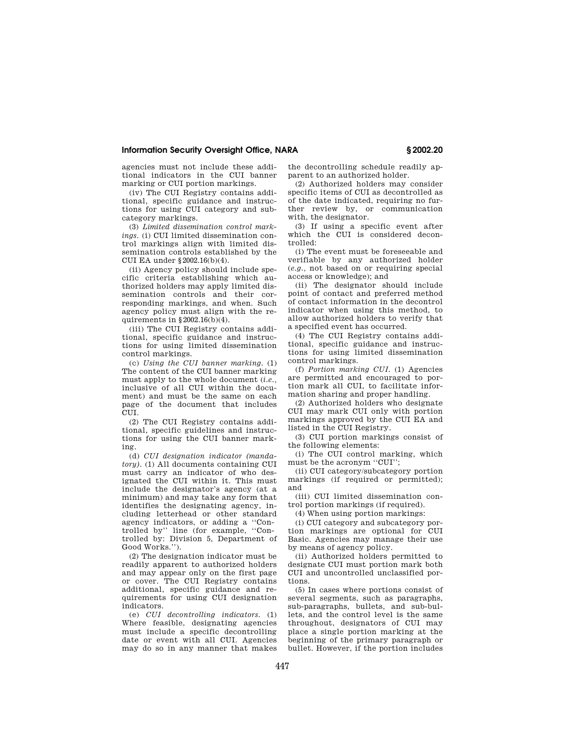agencies must not include these additional indicators in the CUI banner marking or CUI portion markings.

(iv) The CUI Registry contains additional, specific guidance and instructions for using CUI category and subcategory markings.

(3) *Limited dissemination control markings.* (i) CUI limited dissemination control markings align with limited dissemination controls established by the CUI EA under §2002.16(b)(4).

(ii) Agency policy should include specific criteria establishing which authorized holders may apply limited dissemination controls and their corresponding markings, and when. Such agency policy must align with the requirements in §2002.16(b)(4).

(iii) The CUI Registry contains additional, specific guidance and instructions for using limited dissemination control markings.

(c) *Using the CUI banner marking.* (1) The content of the CUI banner marking must apply to the whole document (*i.e.,*  inclusive of all CUI within the document) and must be the same on each page of the document that includes CUI.

(2) The CUI Registry contains additional, specific guidelines and instructions for using the CUI banner marking.

(d) *CUI designation indicator (mandatory).* (1) All documents containing CUI must carry an indicator of who designated the CUI within it. This must include the designator's agency (at a minimum) and may take any form that identifies the designating agency, including letterhead or other standard agency indicators, or adding a ''Controlled by'' line (for example, ''Controlled by: Division 5, Department of Good Works.'').

(2) The designation indicator must be readily apparent to authorized holders and may appear only on the first page or cover. The CUI Registry contains additional, specific guidance and requirements for using CUI designation indicators.

(e) *CUI decontrolling indicators.* (1) Where feasible, designating agencies must include a specific decontrolling date or event with all CUI. Agencies may do so in any manner that makes the decontrolling schedule readily apparent to an authorized holder.

(2) Authorized holders may consider specific items of CUI as decontrolled as of the date indicated, requiring no further review by, or communication with, the designator.

(3) If using a specific event after which the CUI is considered decontrolled:

(i) The event must be foreseeable and verifiable by any authorized holder (*e.g.,* not based on or requiring special access or knowledge); and

(ii) The designator should include point of contact and preferred method of contact information in the decontrol indicator when using this method, to allow authorized holders to verify that a specified event has occurred.

(4) The CUI Registry contains additional, specific guidance and instructions for using limited dissemination control markings.

(f) *Portion marking CUI.* (1) Agencies are permitted and encouraged to portion mark all CUI, to facilitate information sharing and proper handling.

(2) Authorized holders who designate CUI may mark CUI only with portion markings approved by the CUI EA and listed in the CUI Registry.

(3) CUI portion markings consist of the following elements:

(i) The CUI control marking, which must be the acronym ''CUI'';

(ii) CUI category/subcategory portion markings (if required or permitted); and

(iii) CUI limited dissemination control portion markings (if required).

(4) When using portion markings:

(i) CUI category and subcategory portion markings are optional for CUI Basic. Agencies may manage their use by means of agency policy.

(ii) Authorized holders permitted to designate CUI must portion mark both CUI and uncontrolled unclassified portions.

(5) In cases where portions consist of several segments, such as paragraphs, sub-paragraphs, bullets, and sub-bullets, and the control level is the same throughout, designators of CUI may place a single portion marking at the beginning of the primary paragraph or bullet. However, if the portion includes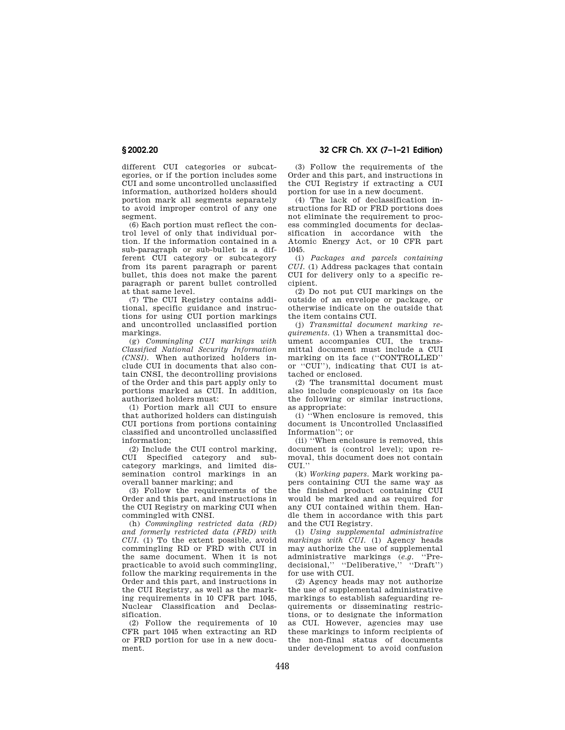different CUI categories or subcategories, or if the portion includes some CUI and some uncontrolled unclassified information, authorized holders should portion mark all segments separately to avoid improper control of any one segment.

(6) Each portion must reflect the control level of only that individual portion. If the information contained in a sub-paragraph or sub-bullet is a different CUI category or subcategory from its parent paragraph or parent bullet, this does not make the parent paragraph or parent bullet controlled at that same level.

(7) The CUI Registry contains additional, specific guidance and instructions for using CUI portion markings and uncontrolled unclassified portion markings.

(g) *Commingling CUI markings with Classified National Security Information (CNSI).* When authorized holders include CUI in documents that also contain CNSI, the decontrolling provisions of the Order and this part apply only to portions marked as CUI. In addition, authorized holders must:

(1) Portion mark all CUI to ensure that authorized holders can distinguish CUI portions from portions containing classified and uncontrolled unclassified information;

(2) Include the CUI control marking, CUI Specified category and subcategory markings, and limited dissemination control markings in an overall banner marking; and

(3) Follow the requirements of the Order and this part, and instructions in the CUI Registry on marking CUI when commingled with CNSI.

(h) *Commingling restricted data (RD) and formerly restricted data (FRD) with CUI.* (1) To the extent possible, avoid commingling RD or FRD with CUI in the same document. When it is not practicable to avoid such commingling, follow the marking requirements in the Order and this part, and instructions in the CUI Registry, as well as the marking requirements in 10 CFR part 1045, Nuclear Classification and Declassification.

(2) Follow the requirements of 10 CFR part 1045 when extracting an RD or FRD portion for use in a new document.

**§ 2002.20 32 CFR Ch. XX (7–1–21 Edition)** 

(3) Follow the requirements of the Order and this part, and instructions in the CUI Registry if extracting a CUI portion for use in a new document.

(4) The lack of declassification instructions for RD or FRD portions does not eliminate the requirement to process commingled documents for declassification in accordance with the Atomic Energy Act, or 10 CFR part 1045.

(i) *Packages and parcels containing CUI.* (1) Address packages that contain CUI for delivery only to a specific recipient.

(2) Do not put CUI markings on the outside of an envelope or package, or otherwise indicate on the outside that the item contains CUI.

(j) *Transmittal document marking requirements.* (1) When a transmittal document accompanies CUI, the transmittal document must include a CUI marking on its face (''CONTROLLED'' or ''CUI''), indicating that CUI is attached or enclosed.

(2) The transmittal document must also include conspicuously on its face the following or similar instructions, as appropriate:

(i) ''When enclosure is removed, this document is Uncontrolled Unclassified Information''; or

(ii) ''When enclosure is removed, this document is (control level); upon removal, this document does not contain  $CIII$ <sup>"</sup>

(k) *Working papers.* Mark working papers containing CUI the same way as the finished product containing CUI would be marked and as required for any CUI contained within them. Handle them in accordance with this part and the CUI Registry.

(l) *Using supplemental administrative markings with CUI.* (1) Agency heads may authorize the use of supplemental administrative markings (e.g. "Pre-<br>decisional." "Deliberative," "Draft") decisional." "Deliberative." for use with CUI.

(2) Agency heads may not authorize the use of supplemental administrative markings to establish safeguarding requirements or disseminating restrictions, or to designate the information as CUI. However, agencies may use these markings to inform recipients of the non-final status of documents under development to avoid confusion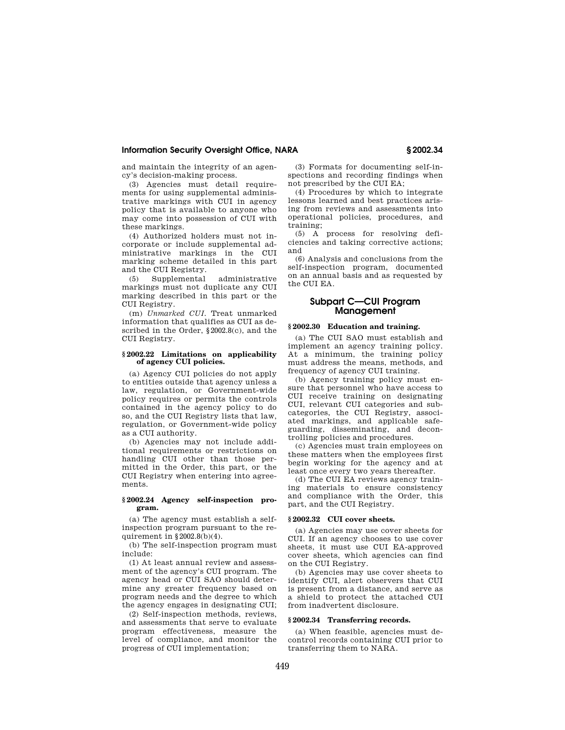and maintain the integrity of an agency's decision-making process.

(3) Agencies must detail requirements for using supplemental administrative markings with CUI in agency policy that is available to anyone who may come into possession of CUI with these markings.

(4) Authorized holders must not incorporate or include supplemental administrative markings in the CUI marking scheme detailed in this part and the CUI Registry.

(5) Supplemental administrative markings must not duplicate any CUI marking described in this part or the CUI Registry.

(m) *Unmarked CUI.* Treat unmarked information that qualifies as CUI as described in the Order, §2002.8(c), and the CUI Registry.

## **§ 2002.22 Limitations on applicability of agency CUI policies.**

(a) Agency CUI policies do not apply to entities outside that agency unless a law, regulation, or Government-wide policy requires or permits the controls contained in the agency policy to do so, and the CUI Registry lists that law, regulation, or Government-wide policy as a CUI authority.

(b) Agencies may not include additional requirements or restrictions on handling CUI other than those permitted in the Order, this part, or the CUI Registry when entering into agreements.

## **§ 2002.24 Agency self-inspection program.**

(a) The agency must establish a selfinspection program pursuant to the requirement in §2002.8(b)(4).

(b) The self-inspection program must include:

(1) At least annual review and assessment of the agency's CUI program. The agency head or CUI SAO should determine any greater frequency based on program needs and the degree to which the agency engages in designating CUI;

(2) Self-inspection methods, reviews, and assessments that serve to evaluate program effectiveness, measure the level of compliance, and monitor the progress of CUI implementation;

(3) Formats for documenting self-inspections and recording findings when not prescribed by the CUI EA;

(4) Procedures by which to integrate lessons learned and best practices arising from reviews and assessments into operational policies, procedures, and training;

(5) A process for resolving deficiencies and taking corrective actions; and

(6) Analysis and conclusions from the self-inspection program, documented on an annual basis and as requested by the CUI EA.

# **Subpart C—CUI Program Management**

## **§ 2002.30 Education and training.**

(a) The CUI SAO must establish and implement an agency training policy. At a minimum, the training policy must address the means, methods, and frequency of agency CUI training.

(b) Agency training policy must ensure that personnel who have access to CUI receive training on designating CUI, relevant CUI categories and subcategories, the CUI Registry, associated markings, and applicable safeguarding, disseminating, and decontrolling policies and procedures.

(c) Agencies must train employees on these matters when the employees first begin working for the agency and at least once every two years thereafter.

(d) The CUI EA reviews agency training materials to ensure consistency and compliance with the Order, this part, and the CUI Registry.

#### **§ 2002.32 CUI cover sheets.**

(a) Agencies may use cover sheets for CUI. If an agency chooses to use cover sheets, it must use CUI EA-approved cover sheets, which agencies can find on the CUI Registry.

(b) Agencies may use cover sheets to identify CUI, alert observers that CUI is present from a distance, and serve as a shield to protect the attached CUI from inadvertent disclosure.

#### **§ 2002.34 Transferring records.**

(a) When feasible, agencies must decontrol records containing CUI prior to transferring them to NARA.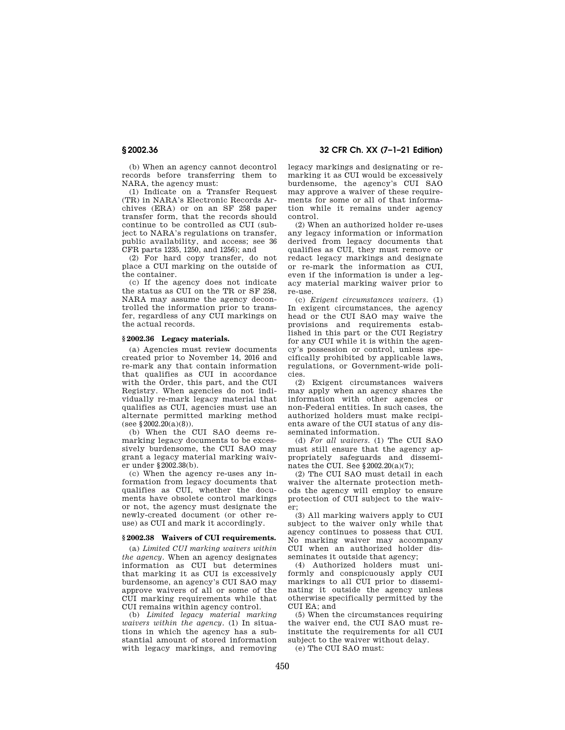(b) When an agency cannot decontrol records before transferring them to NARA, the agency must:

(1) Indicate on a Transfer Request (TR) in NARA's Electronic Records Archives (ERA) or on an SF 258 paper transfer form, that the records should continue to be controlled as CUI (subject to NARA's regulations on transfer, public availability, and access; see 36 CFR parts 1235, 1250, and 1256); and

(2) For hard copy transfer, do not place a CUI marking on the outside of the container.

(c) If the agency does not indicate the status as CUI on the TR or SF 258, NARA may assume the agency decontrolled the information prior to transfer, regardless of any CUI markings on the actual records.

# **§ 2002.36 Legacy materials.**

(a) Agencies must review documents created prior to November 14, 2016 and re-mark any that contain information that qualifies as CUI in accordance with the Order, this part, and the CUI Registry. When agencies do not individually re-mark legacy material that qualifies as CUI, agencies must use an alternate permitted marking method  $($ see §2002.20 $(a)(8)$ ).

(b) When the CUI SAO deems remarking legacy documents to be excessively burdensome, the CUI SAO may grant a legacy material marking waiver under §2002.38(b).

(c) When the agency re-uses any information from legacy documents that qualifies as CUI, whether the documents have obsolete control markings or not, the agency must designate the newly-created document (or other reuse) as CUI and mark it accordingly.

## **§ 2002.38 Waivers of CUI requirements.**

(a) *Limited CUI marking waivers within the agency.* When an agency designates information as CUI but determines that marking it as CUI is excessively burdensome, an agency's CUI SAO may approve waivers of all or some of the CUI marking requirements while that CUI remains within agency control.

(b) *Limited legacy material marking waivers within the agency.* (1) In situations in which the agency has a substantial amount of stored information with legacy markings, and removing

**§ 2002.36 32 CFR Ch. XX (7–1–21 Edition)** 

legacy markings and designating or remarking it as CUI would be excessively burdensome, the agency's CUI SAO may approve a waiver of these requirements for some or all of that information while it remains under agency control.

(2) When an authorized holder re-uses any legacy information or information derived from legacy documents that qualifies as CUI, they must remove or redact legacy markings and designate or re-mark the information as CUI, even if the information is under a legacy material marking waiver prior to re-use.

(c) *Exigent circumstances waivers.* (1) In exigent circumstances, the agency head or the CUI SAO may waive the provisions and requirements established in this part or the CUI Registry for any CUI while it is within the agency's possession or control, unless specifically prohibited by applicable laws, regulations, or Government-wide policies.

(2) Exigent circumstances waivers may apply when an agency shares the information with other agencies or non-Federal entities. In such cases, the authorized holders must make recipients aware of the CUI status of any disseminated information.

(d) *For all waivers.* (1) The CUI SAO must still ensure that the agency appropriately safeguards and disseminates the CUI. See §2002.20(a)(7);

(2) The CUI SAO must detail in each waiver the alternate protection methods the agency will employ to ensure protection of CUI subject to the waiver;

(3) All marking waivers apply to CUI subject to the waiver only while that agency continues to possess that CUI. No marking waiver may accompany CUI when an authorized holder disseminates it outside that agency;

(4) Authorized holders must uniformly and conspicuously apply CUI markings to all CUI prior to disseminating it outside the agency unless otherwise specifically permitted by the  $C$ UI EA $\cdot$ and

(5) When the circumstances requiring the waiver end, the CUI SAO must reinstitute the requirements for all CUI subject to the waiver without delay.

(e) The CUI SAO must: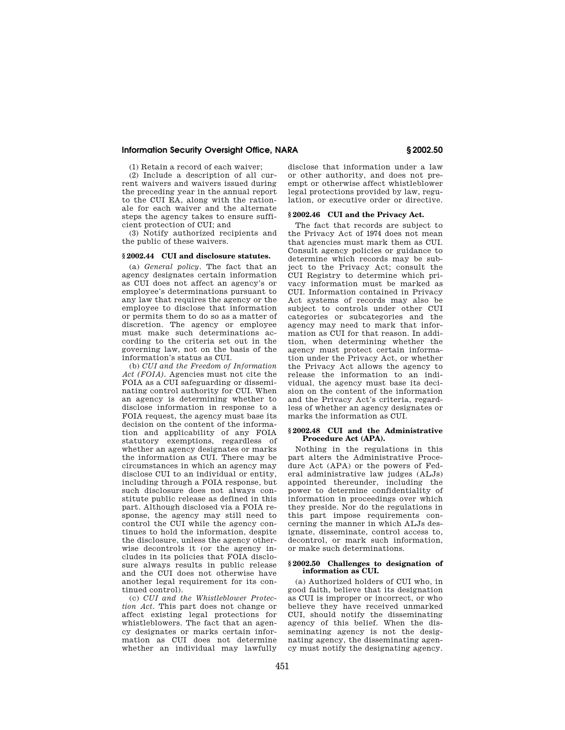(1) Retain a record of each waiver;

(2) Include a description of all current waivers and waivers issued during the preceding year in the annual report to the CUI EA, along with the rationale for each waiver and the alternate steps the agency takes to ensure sufficient protection of CUI; and

(3) Notify authorized recipients and the public of these waivers.

## **§ 2002.44 CUI and disclosure statutes.**

(a) *General policy.* The fact that an agency designates certain information as CUI does not affect an agency's or employee's determinations pursuant to any law that requires the agency or the employee to disclose that information or permits them to do so as a matter of discretion. The agency or employee must make such determinations according to the criteria set out in the governing law, not on the basis of the information's status as CUI.

(b) *CUI and the Freedom of Information Act (FOIA).* Agencies must not cite the FOIA as a CUI safeguarding or disseminating control authority for CUI. When an agency is determining whether to disclose information in response to a FOIA request, the agency must base its decision on the content of the information and applicability of any FOIA statutory exemptions, regardless of whether an agency designates or marks the information as CUI. There may be circumstances in which an agency may disclose CUI to an individual or entity, including through a FOIA response, but such disclosure does not always constitute public release as defined in this part. Although disclosed via a FOIA response, the agency may still need to control the CUI while the agency continues to hold the information, despite the disclosure, unless the agency otherwise decontrols it (or the agency includes in its policies that FOIA disclosure always results in public release and the CUI does not otherwise have another legal requirement for its continued control).

(c) *CUI and the Whistleblower Protection Act.* This part does not change or affect existing legal protections for whistleblowers. The fact that an agency designates or marks certain information as CUI does not determine whether an individual may lawfully

disclose that information under a law or other authority, and does not preempt or otherwise affect whistleblower legal protections provided by law, regulation, or executive order or directive.

## **§ 2002.46 CUI and the Privacy Act.**

The fact that records are subject to the Privacy Act of 1974 does not mean that agencies must mark them as CUI. Consult agency policies or guidance to determine which records may be subject to the Privacy Act; consult the CUI Registry to determine which privacy information must be marked as CUI. Information contained in Privacy Act systems of records may also be subject to controls under other CUI categories or subcategories and the agency may need to mark that information as CUI for that reason. In addition, when determining whether the agency must protect certain information under the Privacy Act, or whether the Privacy Act allows the agency to release the information to an individual, the agency must base its decision on the content of the information and the Privacy Act's criteria, regardless of whether an agency designates or marks the information as CUI.

### **§ 2002.48 CUI and the Administrative Procedure Act (APA).**

Nothing in the regulations in this part alters the Administrative Procedure Act (APA) or the powers of Federal administrative law judges (ALJs) appointed thereunder, including the power to determine confidentiality of information in proceedings over which they preside. Nor do the regulations in this part impose requirements concerning the manner in which ALJs designate, disseminate, control access to, decontrol, or mark such information, or make such determinations.

#### **§ 2002.50 Challenges to designation of information as CUI.**

(a) Authorized holders of CUI who, in good faith, believe that its designation as CUI is improper or incorrect, or who believe they have received unmarked CUI, should notify the disseminating agency of this belief. When the disseminating agency is not the designating agency, the disseminating agency must notify the designating agency.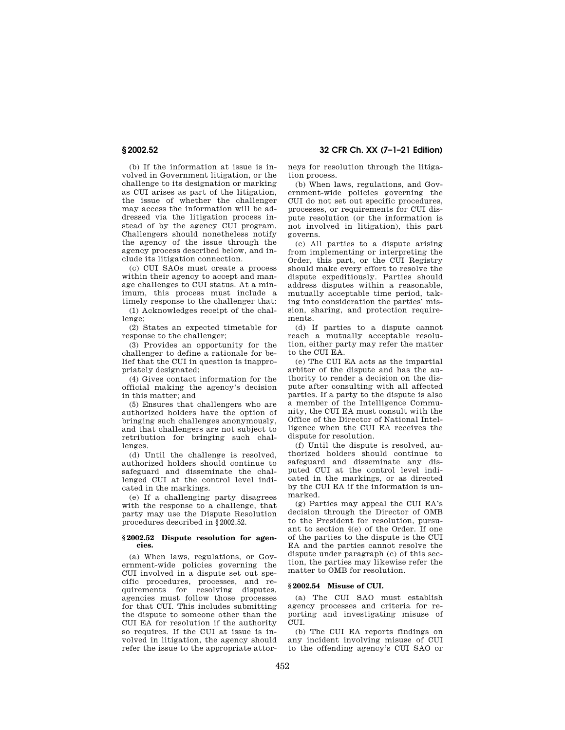**§ 2002.52 32 CFR Ch. XX (7–1–21 Edition)** 

(b) If the information at issue is involved in Government litigation, or the challenge to its designation or marking as CUI arises as part of the litigation, the issue of whether the challenger may access the information will be addressed via the litigation process instead of by the agency CUI program. Challengers should nonetheless notify the agency of the issue through the agency process described below, and include its litigation connection.

(c) CUI SAOs must create a process within their agency to accept and manage challenges to CUI status. At a minimum, this process must include a timely response to the challenger that:

(1) Acknowledges receipt of the challenge;

(2) States an expected timetable for response to the challenger;

(3) Provides an opportunity for the challenger to define a rationale for belief that the CUI in question is inappropriately designated;

(4) Gives contact information for the official making the agency's decision in this matter; and

(5) Ensures that challengers who are authorized holders have the option of bringing such challenges anonymously, and that challengers are not subject to retribution for bringing such challenges.

(d) Until the challenge is resolved, authorized holders should continue to safeguard and disseminate the challenged CUI at the control level indicated in the markings.

(e) If a challenging party disagrees with the response to a challenge, that party may use the Dispute Resolution procedures described in §2002.52.

### **§ 2002.52 Dispute resolution for agencies.**

(a) When laws, regulations, or Government-wide policies governing the CUI involved in a dispute set out specific procedures, processes, and requirements for resolving disputes, agencies must follow those processes for that CUI. This includes submitting the dispute to someone other than the CUI EA for resolution if the authority so requires. If the CUI at issue is involved in litigation, the agency should refer the issue to the appropriate attorneys for resolution through the litigation process.

(b) When laws, regulations, and Government-wide policies governing the CUI do not set out specific procedures, processes, or requirements for CUI dispute resolution (or the information is not involved in litigation), this part governs.

(c) All parties to a dispute arising from implementing or interpreting the Order, this part, or the CUI Registry should make every effort to resolve the dispute expeditiously. Parties should address disputes within a reasonable, mutually acceptable time period, taking into consideration the parties' mission, sharing, and protection requirements.

(d) If parties to a dispute cannot reach a mutually acceptable resolution, either party may refer the matter to the CUI EA.

(e) The CUI EA acts as the impartial arbiter of the dispute and has the authority to render a decision on the dispute after consulting with all affected parties. If a party to the dispute is also a member of the Intelligence Community, the CUI EA must consult with the Office of the Director of National Intelligence when the CUI EA receives the dispute for resolution.

(f) Until the dispute is resolved, authorized holders should continue to safeguard and disseminate any disputed CUI at the control level indicated in the markings, or as directed by the CUI EA if the information is unmarked.

(g) Parties may appeal the CUI EA's decision through the Director of OMB to the President for resolution, pursuant to section 4(e) of the Order. If one of the parties to the dispute is the CUI EA and the parties cannot resolve the dispute under paragraph (c) of this section, the parties may likewise refer the matter to OMB for resolution.

#### **§ 2002.54 Misuse of CUI.**

(a) The CUI SAO must establish agency processes and criteria for reporting and investigating misuse of CUIL.

(b) The CUI EA reports findings on any incident involving misuse of CUI to the offending agency's CUI SAO or